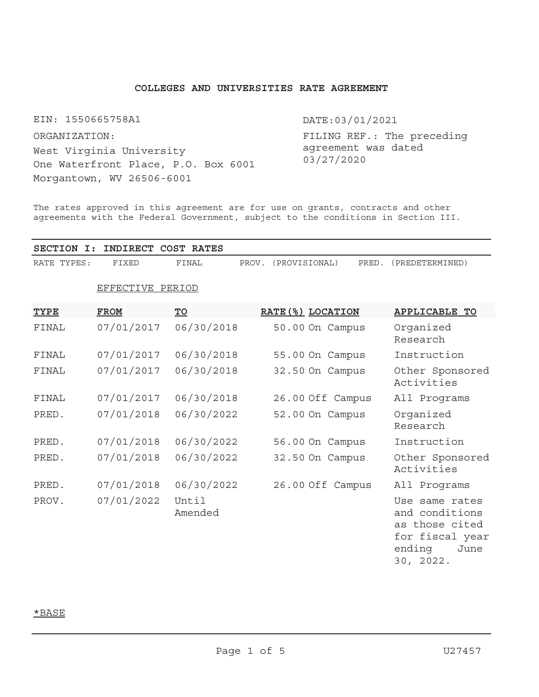## **COLLEGES AND UNIVERSITIES RATE AGREEMENT**

EIN: 1550665758A1

West Virginia University One Waterfront Place, P.O. Box 6001 Morgantown, WV 26506-6001 ORGANIZATION:

DATE:03/01/2021

FILING REF.: The preceding agreement was dated 03/27/2020

The rates approved in this agreement are for use on grants, contracts and other agreements with the Federal Government, subject to the conditions in Section III.

| SECTION I:  | INDIRECT COST RATES |                         |                                 |                                                                                                      |
|-------------|---------------------|-------------------------|---------------------------------|------------------------------------------------------------------------------------------------------|
| RATE TYPES: | FIXED               | FINAL                   | PROV.<br>(PROVISIONAL)<br>PRED. | (PREDETERMINED)                                                                                      |
|             | EFFECTIVE PERIOD    |                         |                                 |                                                                                                      |
| <b>TYPE</b> | <b>FROM</b>         | $\underline{\text{TO}}$ | RATE (%) LOCATION               | <b>APPLICABLE TO</b>                                                                                 |
| FINAL       | 07/01/2017          | 06/30/2018              | 50.00 On Campus                 | Organized<br>Research                                                                                |
| FINAL       | 07/01/2017          | 06/30/2018              | 55.00 On Campus                 | Instruction                                                                                          |
| FINAL       | 07/01/2017          | 06/30/2018              | 32.50 On Campus                 | Other Sponsored<br>Activities                                                                        |
| FINAL       | 07/01/2017          | 06/30/2018              | 26.00 Off Campus                | All Programs                                                                                         |
| PRED.       | 07/01/2018          | 06/30/2022              | 52.00 On Campus                 | Organized<br>Research                                                                                |
| PRED.       | 07/01/2018          | 06/30/2022              | 56.00 On Campus                 | Instruction                                                                                          |
| PRED.       | 07/01/2018          | 06/30/2022              | 32.50 On Campus                 | Other Sponsored<br>Activities                                                                        |
| PRED.       | 07/01/2018          | 06/30/2022              | 26.00 Off Campus                | All Programs                                                                                         |
| PROV.       | 07/01/2022          | Until<br>Amended        |                                 | Use same rates<br>and conditions<br>as those cited<br>for fiscal year<br>ending<br>June<br>30, 2022. |

# \*BASE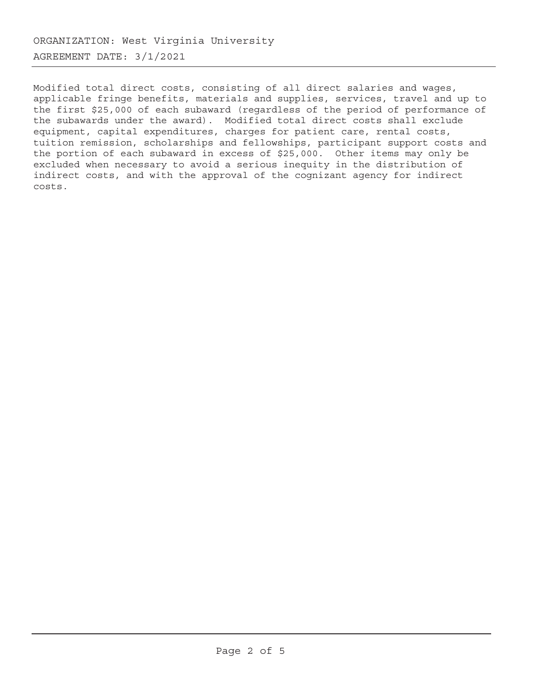Modified total direct costs, consisting of all direct salaries and wages, applicable fringe benefits, materials and supplies, services, travel and up to the first \$25,000 of each subaward (regardless of the period of performance of the subawards under the award). Modified total direct costs shall exclude equipment, capital expenditures, charges for patient care, rental costs, tuition remission, scholarships and fellowships, participant support costs and the portion of each subaward in excess of \$25,000. Other items may only be excluded when necessary to avoid a serious inequity in the distribution of indirect costs, and with the approval of the cognizant agency for indirect costs.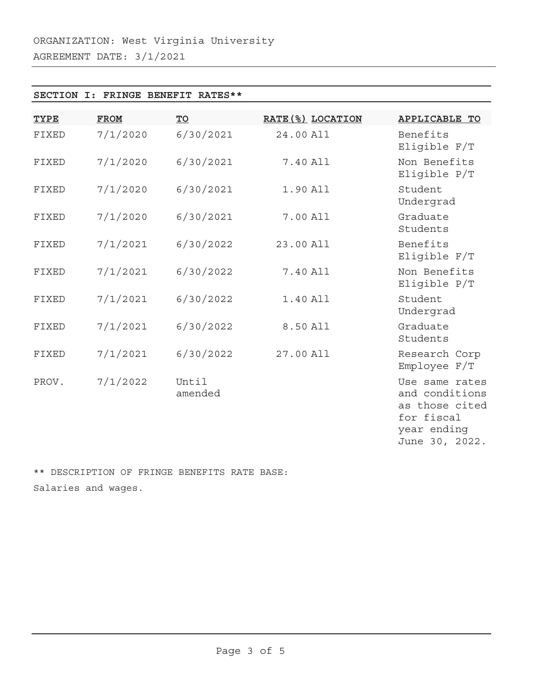## **SECTION I: FRINGE BENEFIT RATES\*\***

| <b>TYPE</b> | <b>FROM</b> | $\underline{\text{TO}}$ | RATE (%) LOCATION | <b>APPLICABLE TO</b>                                                                              |
|-------------|-------------|-------------------------|-------------------|---------------------------------------------------------------------------------------------------|
| FIXED       | 7/1/2020    | 6/30/2021               | 24.00 All         | Benefits<br>Eligible F/T                                                                          |
| FIXED       | 7/1/2020    | 6/30/2021               | 7.40 All          | Non Benefits<br>Eligible P/T                                                                      |
| FIXED       | 7/1/2020    | 6/30/2021               | 1.90 All          | Student<br>Undergrad                                                                              |
| FIXED       | 7/1/2020    | 6/30/2021               | 7.00 All          | Graduate<br>Students                                                                              |
| FIXED       | 7/1/2021    | 6/30/2022               | 23.00 All         | Benefits<br>Eligible F/T                                                                          |
| FIXED       | 7/1/2021    | 6/30/2022               | 7.40 All          | Non Benefits<br>Eligible P/T                                                                      |
| FIXED       | 7/1/2021    | 6/30/2022               | 1.40 All          | Student<br>Undergrad                                                                              |
| FIXED       | 7/1/2021    | 6/30/2022               | 8.50 All          | Graduate<br>Students                                                                              |
| FIXED       | 7/1/2021    | 6/30/2022               | 27.00 All         | Research Corp<br>Employee F/T                                                                     |
| PROV.       | 7/1/2022    | Until<br>amended        |                   | Use same rates<br>and conditions<br>as those cited<br>for fiscal<br>year ending<br>June 30, 2022. |

\*\* DESCRIPTION OF FRINGE BENEFITS RATE BASE: Salaries and wages.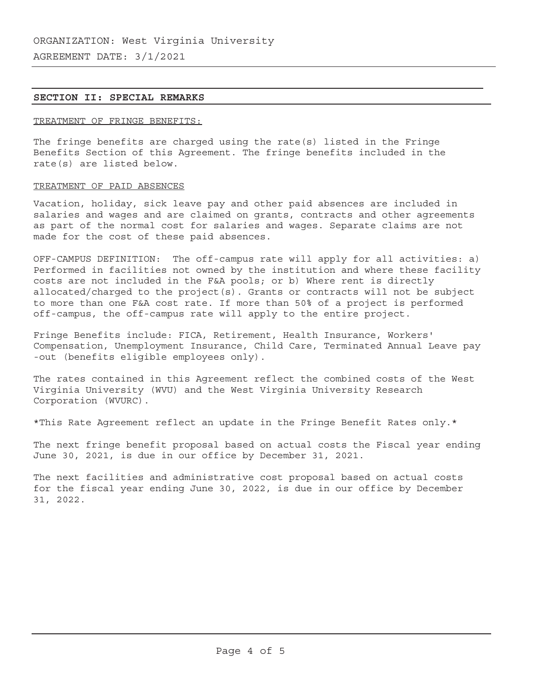## **SECTION II: SPECIAL REMARKS**

## TREATMENT OF FRINGE BENEFITS:

The fringe benefits are charged using the rate(s) listed in the Fringe Benefits Section of this Agreement. The fringe benefits included in the rate(s) are listed below.

### TREATMENT OF PAID ABSENCES

Vacation, holiday, sick leave pay and other paid absences are included in salaries and wages and are claimed on grants, contracts and other agreements as part of the normal cost for salaries and wages. Separate claims are not made for the cost of these paid absences.

OFF-CAMPUS DEFINITION: The off-campus rate will apply for all activities: a) Performed in facilities not owned by the institution and where these facility costs are not included in the F&A pools; or b) Where rent is directly allocated/charged to the project(s). Grants or contracts will not be subject to more than one F&A cost rate. If more than 50% of a project is performed off-campus, the off-campus rate will apply to the entire project.

Fringe Benefits include: FICA, Retirement, Health Insurance, Workers' Compensation, Unemployment Insurance, Child Care, Terminated Annual Leave pay -out (benefits eligible employees only).

The rates contained in this Agreement reflect the combined costs of the West Virginia University (WVU) and the West Virginia University Research Corporation (WVURC).

\*This Rate Agreement reflect an update in the Fringe Benefit Rates only.\*

The next fringe benefit proposal based on actual costs the Fiscal year ending June 30, 2021, is due in our office by December 31, 2021.

The next facilities and administrative cost proposal based on actual costs for the fiscal year ending June 30, 2022, is due in our office by December 31, 2022.